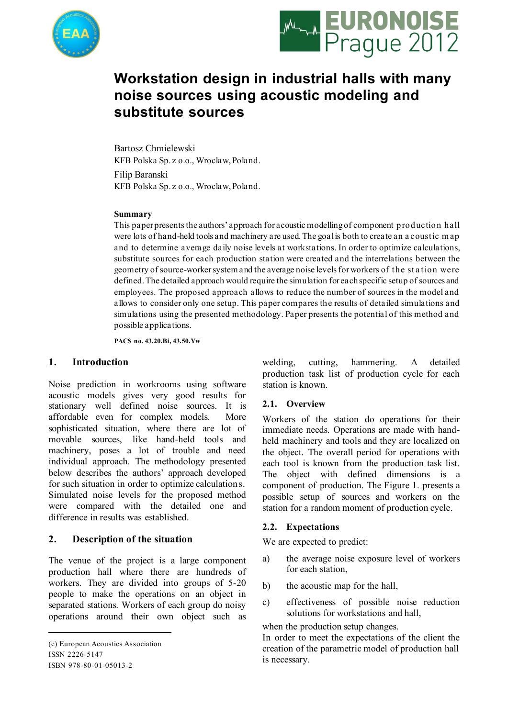



# **Workstation design in industrial halls with many noise sources using acoustic modeling and substitute sources**

Bartosz Chmielewski KFB Polska Sp. z o.o., Wroclaw, Poland.

Filip Baranski KFB Polska Sp. z o.o., Wroclaw, Poland.

#### **Summary**

This paper presents the authors' approach for acoustic modelling of component production hall were lots of hand-held tools and machinery are used. The goal is both to create an a coustic m ap and to determine average daily noise levels at workstations. In order to optimize calculations, substitute sources for each production station were created and the interrelations between the geometry of source-workersystem and the average noise levels for workers of the st a tion were defined. The detailed approach would require the simulation for each specific setup of sources and employees. The proposed approach allows to reduce the number of sources in the model and allows to consider only one setup. This paper compares the results of detailed simulations and simulations using the presented methodology. Paper presents the potential of this method and possible applications.

**PACS no. 43.20.Bi, 43.50.Yw**

#### **1. Introduction<sup>1</sup>**

Noise prediction in workrooms using software acoustic models gives very good results for stationary well defined noise sources. It is affordable even for complex models. More sophisticated situation, where there are lot of movable sources, like hand-held tools and machinery, poses a lot of trouble and need individual approach. The methodology presented below describes the authors' approach developed for such situation in order to optimize calculations. Simulated noise levels for the proposed method were compared with the detailed one and difference in results was established.

## **2. Description of the situation**

The venue of the project is a large component production hall where there are hundreds of workers. They are divided into groups of 5-20 people to make the operations on an object in separated stations. Workers of each group do noisy operations around their own object such as

1 (c) European Acoustics Association ISSN 2226-5147 ISBN 978-80-01-05013-2

welding, cutting, hammering. A detailed production task list of production cycle for each station is known.

#### **2.1. Overview**

Workers of the station do operations for their immediate needs. Operations are made with handheld machinery and tools and they are localized on the object. The overall period for operations with each tool is known from the production task list. The object with defined dimensions is a component of production. The Figure 1. presents a possible setup of sources and workers on the station for a random moment of production cycle.

#### **2.2. Expectations**

We are expected to predict:

- a) the average noise exposure level of workers for each station,
- b) the acoustic map for the hall,
- c) effectiveness of possible noise reduction solutions for workstations and hall,

when the production setup changes.

In order to meet the expectations of the client the creation of the parametric model of production hall is necessary.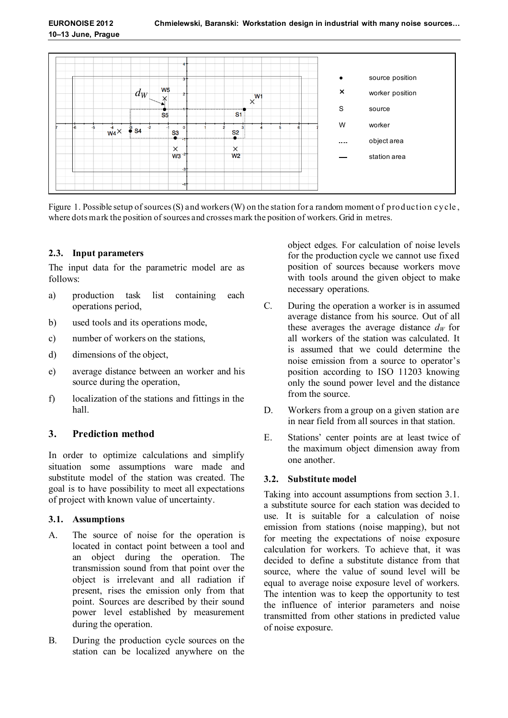

Figure 1. Possible setup of sources (S) and workers (W) on the station for a random moment of production cycle, where dotsmark the position of sources and crossesmark the position of workers. Grid in metres.

## **2.3. Input parameters**

The input data for the parametric model are as follows:

- a) production task list containing each operations period,
- b) used tools and its operations mode,
- c) number of workers on the stations,
- d) dimensions of the object,
- e) average distance between an worker and his source during the operation,
- f) localization of the stations and fittings in the hall.

## **3. Prediction method**

In order to optimize calculations and simplify situation some assumptions ware made and substitute model of the station was created. The goal is to have possibility to meet all expectations of project with known value of uncertainty.

## **3.1. Assumptions**

- A. The source of noise for the operation is located in contact point between a tool and an object during the operation. The transmission sound from that point over the object is irrelevant and all radiation if present, rises the emission only from that point. Sources are described by their sound power level established by measurement during the operation.
- B. During the production cycle sources on the station can be localized anywhere on the

object edges. For calculation of noise levels for the production cycle we cannot use fixed position of sources because workers move with tools around the given object to make necessary operations.

- C. During the operation a worker is in assumed average distance from his source. Out of all these averages the average distance  $d_W$  for all workers of the station was calculated. It is assumed that we could determine the noise emission from a source to operator's position according to ISO 11203 knowing only the sound power level and the distance from the source.
- D. Workers from a group on a given station are in near field from all sources in that station.
- E. Stations' center points are at least twice of the maximum object dimension away from one another.

## **3.2. Substitute model**

Taking into account assumptions from section 3.1. a substitute source for each station was decided to use. It is suitable for a calculation of noise emission from stations (noise mapping), but not for meeting the expectations of noise exposure calculation for workers. To achieve that, it was decided to define a substitute distance from that source, where the value of sound level will be equal to average noise exposure level of workers. The intention was to keep the opportunity to test the influence of interior parameters and noise transmitted from other stations in predicted value of noise exposure.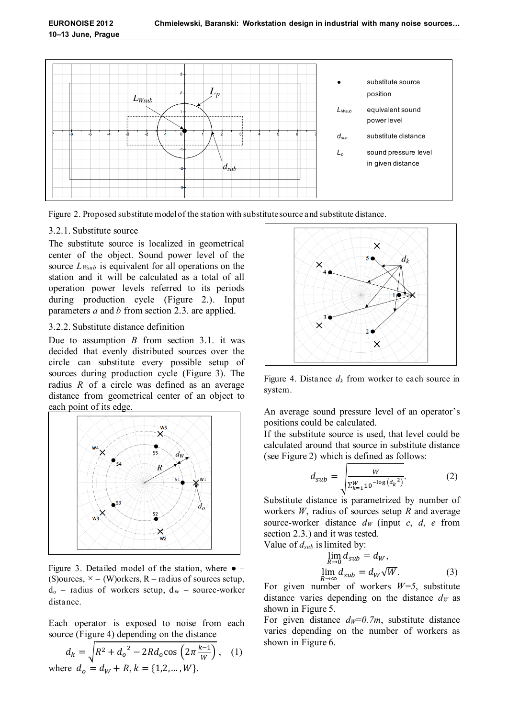

Figure 2. Proposed substitute model of the station with substitute source and substitute distance.

## 3.2.1. Substitute source

The substitute source is localized in geometrical center of the object. Sound power level of the source *LWsub* is equivalent for all operations on the station and it will be calculated as a total of all operation power levels referred to its periods during production cycle (Figure 2.). Input parameters *a* and *b* from section 2.3. are applied.

#### 3.2.2. Substitute distance definition

Due to assumption *B* from section 3.1. it was decided that evenly distributed sources over the circle can substitute every possible setup of sources during production cycle (Figure 3). The radius *R* of a circle was defined as an average distance from geometrical center of an object to each point of its edge.



Figure 3. Detailed model of the station, where  $\bullet$  – (S) ources,  $\times$  – (W) orkers, R – radius of sources setup,  $d_0$  – radius of workers setup,  $d_W$  – source-worker distance.

Each operator is exposed to noise from each source (Figure 4) depending on the distance

$$
d_k = \sqrt{R^2 + {d_o}^2 - 2Rd_o \cos\left(2\pi \frac{k-1}{W}\right)},
$$
 (1)  
where  $d_o = d_W + R, k = \{1, 2, ..., W\}.$ 



Figure 4. Distance  $d_k$  from worker to each source in system.

An average sound pressure level of an operator's positions could be calculated.

If the substitute source is used, that level could be calculated around that source in substitute distance (see Figure 2) which is defined as follows:

$$
d_{sub} = \sqrt{\frac{W}{\sum_{k=1}^{W} 10^{-\log (d_k^2)}}}
$$
 (2)

Substitute distance is parametrized by number of workers *W*, radius of sources setup *R* and average source-worker distance  $d_W$  (input *c*, *d*, *e* from section 2.3.) and it was tested.

Value of 
$$
d_{sub}
$$
 is limited by:  
\n
$$
\lim_{R \to 0} d_{sub} = d_W,
$$
\n
$$
\lim_{R \to \infty} d_{sub} = d_W \sqrt{W}.
$$
\n(3)

For given number of workers *W=5*, substitute distance varies depending on the distance  $d<sub>W</sub>$  as shown in Figure 5.

For given distance  $d_w=0.7m$ , substitute distance varies depending on the number of workers as shown in Figure 6.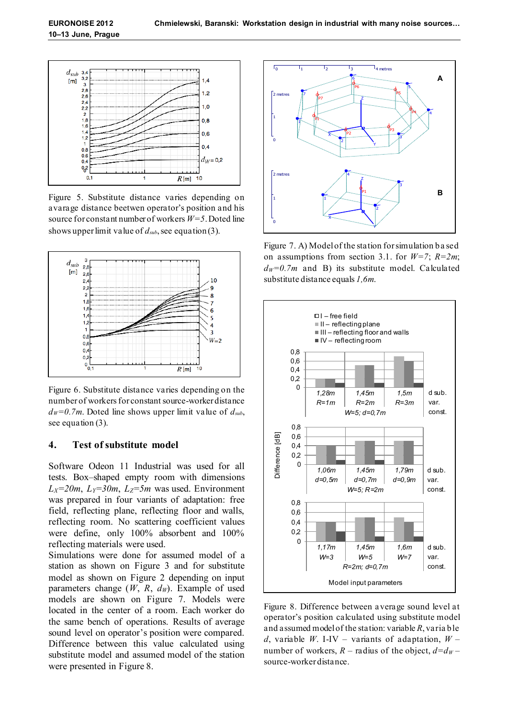

Figure 5. Substitute distance varies depending on avarage distance beetwen operator's position and his source for constant number of workers *W=5*. Doted line shows upperlimit value of *dsub*, see equation (3).



Figure 6. Substitute distance varies depending on the number of workersfor constant source-worker distance  $d_W = 0.7m$ . Doted line shows upper limit value of  $d_{sub}$ , see equation (3).

#### **4. Test of substitute model**

Software Odeon 11 Industrial was used for all tests. Box–shaped empty room with dimensions *L*<sub>*X*</sub>=20*m*, *L*<sub>*Z*</sub>=30*m*, *L*<sub>*Z*</sub>=5*m* was used. Environment was prepared in four variants of adaptation: free field, reflecting plane, reflecting floor and walls, reflecting room. No scattering coefficient values were define, only 100% absorbent and 100% reflecting materials were used.

Simulations were done for assumed model of a station as shown on Figure 3 and for substitute model as shown on Figure 2 depending on input parameters change (*W*, *R*, *dW*). Example of used models are shown on Figure 7. Models were located in the center of a room. Each worker do the same bench of operations. Results of average sound level on operator's position were compared. Difference between this value calculated using substitute model and assumed model of the station were presented in Figure 8.



Figure 7. A) Model of the station for simulation based on assumptions from section 3.1. for *W=7*; *R=2m*;  $dw = 0.7m$  and B) its substitute model. Calculated substitute distance equals *1,6m*.



Figure 8. Difference between average sound level at operator's position calculated using substitute model and assumed model of the station: variable *R*, varia ble *d*, variable *W*. I-IV – variants of adaptation, *W* – number of workers,  $R$  – radius of the object,  $d=d_W$  – source-worker distance.